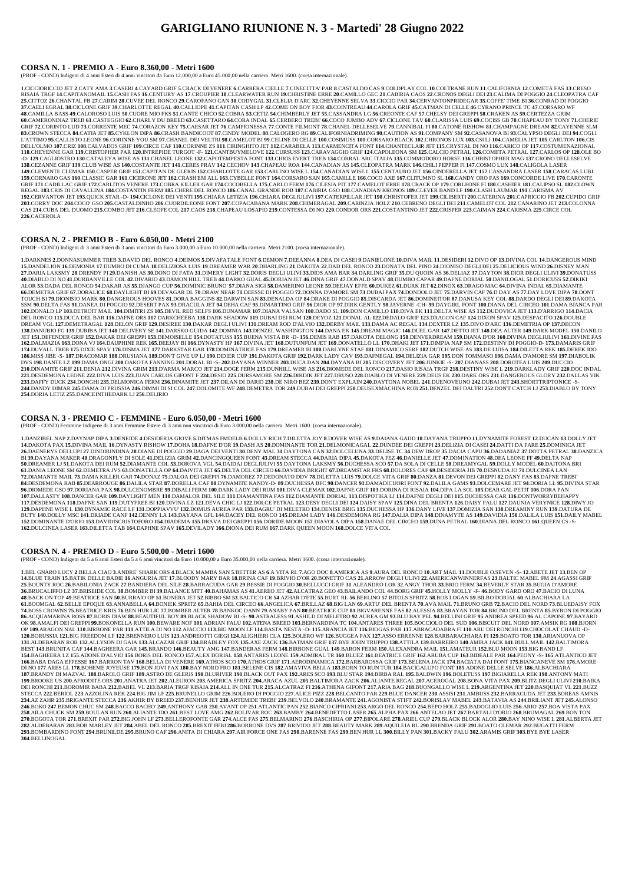## **GARIGLIANO RIUNIONE N. 3 - Martedi' 28 Giugno 2022**

#### **CORSA N. 1 - PREMIO A - Euro 8.360,00 - Metri 1600**

(PROF - COND) Indigeni di 4 anni Esteri di 4 anni vincitori da Euro 12.000,00 a Euro 45.000,00 nella carriera. Metri 1600. (corsa internazionale).

1. CICCIORICCIO JET 2.CATY AMA 3.CASERI 4.CAYARD GRIF 5.CRACK DI VENERE 6.CARRERA CIELLE 7.CINECITTA' PAR 8.CASTALDO CAS 9.COLDPLAY COL 10.COLTRANE RUN 11.CALIFORNIA 12.COMETA FAS 13.CRESO RISAIA TRGF 14.CAPITANOMAIL 15.CASH FAS 16.CENTURY AS 17.CROUPIER 18.CLEARWATER RUN 19.CHRISTINE ERRE 20.CAMILLO GEC 21.CABIRIA CAOS 22.CRONOS DEGLI DEI 23.CALIMA DI POGGIO 24.CLEOPATRA CAF 25.CITTOZ 26.CHANTAL FB 27.CARIM 28.CUVEE DEL RONCO 29.CAROFANO CAN 30.CODYGAL 31.CLELIA D'ARC 32.CHEYENNE SELVA 33.CICCIO PAR 34.CERVANTONPRIDEGAR 35.COFFE' TIME BI 36.CONRAD DI POGGIO 37.CAELI EGRAL 38.CICLONE GRIF 39.CHARLOTTE REGAL 40.CALLIOPE 41.CAPITAN CASH LP 42.COME ON BOY FIOR 43.COINTREAU 44.CAROLA GRIF 45.CATMAN DI CELLE 46.CYRANO PRINCE TC 47.CORSARO WF 48.CAMILLA BASS 49.CALOROSO LUIS 50.CUORE MIO FKS 51.CANTE CHICO 52.COBRA 53.CETIZ 54.CHIMBERLY JET 55.CASSANDRA LG 56.CREONTE CAF 57.CHELSY DEI GREPPI 58.CRAKEN AS 59.CERTEZZA GRIM 60.CAMERONDIAZ TREB 61.CASTEGGIO 62.CHARLY DU BREED 63.CASETTARO 64.CORA INDAL 65.CERBERO TREBI' 66.COCO JUMBO ADV 67.CICLONE TAV 68.CLARISSA LUIS 69.COCISS GB 70.CHAPEAU BY TONY 71.CHERIE GRIF 72.CORINTO LUD 73.CORRENTE MEC 74.CORAZON KEY 75.CAESAR JET 76.CAMPIONESSA 77.CONTE FILMONT 78.CHANEL DELLESELVE 79.CANNIBAL FI 80.CATONE RISHOW 81.CHAMPAGNE DREAM 82.CAYENNE SLM 83.CROWN STECCA 84.CATIA JET 85.CYKLON DIPA 86.CRASH BANDICOOT 87.CINDY MODEL 88.CALOGERO RG 89.CALIFORNIADRIMING 90.CAUTION AS 91.COMPANY SM 92.CASANOVA BI 93.CALYPSO DEGLI DEI 94.COGLI L'ATTIMO 95.CALLISTO LEONE 96.CORINNE YOU SM 97.CHANEL DEI VELTRI 98.CAMELOT BI 99.CELINE DI CELLE 100.COSIMUSS 101.CORSARO BLACK 102.CHRONOS LUX 103.CSI LJ 104.CAMELIA JET 105.CARLTON 106.CIS DELL'OLMO 107.CRIZ 108.CALVADOS GRIF 109.CIRCE CAF 110.CORINNE ZS 111.CIRINGHITO JET 112.CARABELA 113.CARMENCITA FONT 114.CHANTECLAIR JET 115.CRYSTAL DI NO 116.CARICO OP 117.COSTUMENAZIONAL 118.CHEYENNE GAR 119.CRISTOPHER PAR 120.INTREPIDE TURGOT -F- 121.CANTBUYMELOVE 122.CURSUSS 123.CARAVAGGIO GRIF 124.CAPOLEONA SM 125.CALCIO PETRAL 126.COMETA PETRAL 127.CARLOS OP 128.OLE BO A CARDINAL CHARLEY A WISE AS TRANSPORTED TO A CAPOTEMPESTA FONT 133.CHRIS EVERT TREB 134.CORRAL ARC ITALIA 135.COMMODORO HORSE 136.CHRISTOPHER MAG 137.CRONO DELLESELVE 138.CEZANNE GRIF 139.CLUB WISE AS 140.COSTANTE JET 141.CERES PRAV 142.CECHOV 143.CHAPEAU ROA 144.CANADIAN AS 145.CLEOPATRA MARK 146.CHILI PEPPER FI 147.COSMO LUX 148.CALIGOLA LASER 149.CLEMENTE CLEMAR 150.CASPER GRIF 151.CAPITAN DE GLERIS 152.CHARLOTTE GAR 153.CARLINO WISE L 154.CANADIAN WISE L 155.CENTAURO JET 156.CINDERELLA JET 157.CASSANDRA LASER 158.CARACAS LUBI 159.CORNARO GAS 160.CLASSIC GAR 161.CICERONE JET 162.CRASHEM ALL 163.CYBELLE FONT 164.CORSARO SAN 165.CAMILLE 166.COCO AXE 167.CLITUMNO SL 168.CANDY ORO FAS 169.CONCORDE LIVE 170.CARONTE GRIF 171.CADILLAC GRIF 172.CARLITOS VENERE 173.COBRA KILLER GAR 174.COCOBELLA 175.CARLO FERM 176.CILESIA PIT 177.CAMELOT ERRE 178.CRACK OP 179.CORLEONE FI 180.CASHIER 181.CALIPSO SL 182.CLOWN REGAL 183.CRIS DI CAVALLINA 184.COSTANTIN FERM 185.CHERE DEL RONCO 186.CANAL GRANDE ROB 187.CABIRIA GSO 188.CANADIAN KRONOS 189.CLEVER BAND LF 190.CLASH LAUMAR 191.CARISMA AV 192.CERVANTON JET 193.QUICK STAR -D- 194.CICLONE DEI VENTI 195.CHIARA LETIZIA 196.CHIARA DEGLIULIVI 197.CATERPILLAR JET 198.CHRISTOFER JET 199.CLIBERTI 200.CATERNA 201.CAPRICCIO FB 202.CUPIDO GRIF 203.CORRY DOC 204.COCO'GSO 205.CASTALDINHO 206.CUORDILEONE FONT 207.COPACABANA MARK 208.CHIMERAGAL 209.CARINZIA HOLZ 210.CEBRENO DEGLI DEI 211.CAMELOT COL 212.CANARINO JET 213.COLONNA CAS 214.CUBA DEL DUOMO 215.COMBO JET 216.CLEOFE COL 217.CAOS 218.CHAPEAU LOSAPIO 219.CONTESSA DI NO 220.CONDOR ORS 221.COSTANTINO JET 222.CRISPER 223.CAIMAN 224.CARISMA 225.CIRCE COL **226**.CACEROLA

#### **CORSA N. 2 - PREMIO B - Euro 6.050,00 - Metri 2100**

1.DARKNES 2.DONNASUMMER TREB 3.DAVID DEL RONCO 4.DEIMOS 5.DIVAFATALE FONT 6.DEMON 7.DEEANNA 8.DEA DI CASEI 9.DANIELONE 10.DIVA MAIL 11.DESIDERI 12.DIVO OP 13.DIVINA COL 14.DANGEROUS MIND 15.DANDELION 16.DEMONIA 17.DUMBO DI CUMA 18.DELIZIOSA LUIS 19.DREAMER WAR 20.DHARLING 21.DAKOTA 22.DAD DEL RONCO 23.DONATA DEL PINO 24.DIONISO DEGLI DEI 25.DELICIOUS WIND 26.DISNEY MAN 27.DARIA LAKSMY 28.DRENDY PI 29.DANISH AS 30.DONO DI FATA 31.DIMERY LIGHT 32.DORIS DEGLI ULIVI 33.DIOS AMA BAR 34.DARLING GRIF 35.DU QUOIN AS 36.DELIAZ 37.DAYTON 38.DIOR DEGLI ULIVI 39.DONATUSS 40.DIABLO DI NO 41.DURBANVILLE COL 42.DIVARIO 43.DAMON HILL TREB 44.DARKO GUAL 45.DORIAN JET 46.DINA GRIF 47.DONALD SPAV 48.DUMBO CAPAR 49.DAFNE DORIAL 50.DANILOGAL 51.DORICUSS 52.DIKIKI ALOR 53.DADA DEL RONCO 54.DAKAR AS 55.DJANGO CUP 56.DOMINIC BRUNO 57.DIANA SIGI 58.DAMERINO LEONE 59.DEEJAY EFFE 60.DUKEZ 61.DURK JET 62.DINOX 63.DRAGO MAC 64.DIVINA INDAL 65.DIAMANTE <u>CONSIDER A GRIF 67.DORALICE 68.DAYLIGHT BI 69.DEVAGAR DL 70.DRAW NEAR 71.DEESSE DI POGGIO 72.DONNA D'AMORE SM 73.DUBAI PAX 74.DONDOLO JET 75.DARVIN CAF 76.D DAY AS 77.DAY LOVE DIPA 78.DONI</u> TOUCH BI 79.DIONISIO MARK 80.DANGEROUS HOOVES 81.DORA BAGGINS 82.DARWIN SAN 83.DENALDA OP 84.DRAKE DI POGGIO 85.DISCARDA JET 86.DOMINEITOR 87.DANUSA KEY COL 88.DARDO DEGLI DEI 89.DAKOTA SSM 90.DELTA FAS 91.DANEA DI POGGIO 92.DESERT PAX 93.DRACULA JET 94.DEHA CAF 95.DIMARTINO GRIF 96.DIOR OP 97.DIRK GENTLY 98.JAVERNE -CH- 99.DAYGIRL FONT 100.DIANA DEL CIRCEO 101.DAMA BIANCA PAR 102.DONALD LP 103.DETROIT MAIL 104.DIMITRI ZS 105.DEVIL RED SELFS 106.DUNAMAR 107.DIANA VALSAN 108.DADO SL 109.DON CAMILLO 110.DIVA EK 111.DELTA WISE AS 112.DUDOVICA JET 113.D'ARRIGO 114.DACIA DEL RONCO 115.DUCA DEL BAR 116.DAFNE ORS 117.DARKCHEEBA 118.DARK SHADOW 119.DUBAI DEI RUM 120.DEYOZ 121.DONAL AL 122.DEDALO GRIF 123.DRAGON CAF 124.DIXON SPAV 125.DESPACITO 126.DOUBLE DREAM VGL 127.DEMETRAGAL 128.DELON GRIF 129.DESIREE 130.DAKAR DEGLI ULIVI 131.DREAM ROD D'ALVIO 132.DERBY MAIL 133.DAMA AC REGAL 134.DEXTER LZ 135.DIVO D'ARC 136.DEMETRIA OP 137.DECON 138.DANUBIO FG 139.DURIBA JET 140.DELIVERY SE 141.DARSKO GUIDA 142.DOMNIA 143.DENZEL WASHINGTON 144.DANA EK 145.DREAM MAGIC 146.DUEL GAR 147.DETTO JET 148.DEA ALTER 149.DARK MODEL 150.DANILO JET 151.DEFENDER GRIF 152.DAKAR DEI GREPPI 153.DEMOISELLE 154.DOTATUSS 155.BUENA VISTA BR -D- 156.DEMIS RAB 157.DAKOTA DELONG 158.DENVERDREAM 159.DIANA D'OR 160.DIVINA DEGLIULIVI 161.DIVINE FAS 162.DALMAZIA 163.DONA VJ 164.DAUPHINE REK 165.DEEJAY BI 166.DYNASTY HP 167.DIVINA JET 168.DUTUNFUM JET 169.DONATELLO LL 170.DHAKI JET 171.DIMPIA NAP SM 172.DESTINY DI POGGIO-D- 173.DAMARIS GRIF 174.DUVALL TREB 175.DIXIE SPAV 176.DISMA JET 177.DARKSTAR GAR 178.DOMINATRICE FAS 179.DREAMER BI 180.DARLYNE STAF 181.DINAMICO SERF 182.DUTCH WISE AS 183.DE LUISA 184.DILETTA REK 185.DEREK IDO 186.MISS JIBE -S-187.DRACOMAR 188.DRUSIANA 189.DON'T GIVE UP LJ 190.DIDIER CUP 191.DAKOTA GRIF 192.DARK LADY CAV 193.DAFNEGAL 194.DELIZIA GAR 195.DON TOMMASO 196.DAMA D'AMORE SM 197.DIABOLIK DVS 198.DANTE LZ 199.DAMA ONGI 200.DAKOTA FANNING 201.DORAL BI -S- 202.DAYANA WINNER 203.DUCA DAN 204.DAYANA BI 205.DISCOVERY JET 206.JUNKIE -S- 207.DIANASS 208.DOROTEA LUIS 209.DUCCIO 210.DINAMITE GRIF 211.DENIA 212.DIVINA GRIM 213.D'ARMA MARCO JET 214.DOGE FERM 215.DUNHILL WISE AS 216.DIOMEDE DEL RONCO 217.DASIO RISAIA TRGF 218.DESTINY WISE L 219.DARKLADY GRIF 220.DOC INDAL 221.DESDEMONA LEONE 222.DIVA LUIS 223.JUAN CARLOS GIFONT F 224.DESIO 225.DURSAMORE SM 226.DIKDIK JET 227.DRUSO 228.DIABLO DI VENERE 229.DEUS EK 230.DARK ORS 231.DANGEROUS GLORY 232.DALLAS VIK 233.DAFFY DUCK 234.DONGHI 235.DELMONICA FERM 236.DINAMITE JET 237.DILAN DI DARIO 238.DE NIRO BEZ 239.DON'T EXPLAIN 240.DAYTONA NOBEL 241.DUENOVEUNO 242.DUBAI JET 243.SHORTTRIPTONICE -S-244.DANDY DIMAR 245.DAMA DI PRUSSIA 246.DIMMI DI SI COL 247.DOLOMITE WF 248.DEMETRA TOR 249.DUBAI DEI GREPPI 250.DEUSEXMACHINA ROB 251.DENZEL DEI DALTRI 252.DON'T CATCH LJ 253.DIABLO BY TONY **254**.DORIA LETIZ **255**.DANCEINTHEDARK LJ **256**.DELIRIO

(PROF - COND) Indigeni di 3 anni Esteri di 3 anni vincitori da Euro 3.000,00 a Euro 10.000,00 nella carriera. Metri 2100. (corsa internazionale).

1.DANZIBEL NAP 2.DAYNAP DIPA 3.DENEIDE 4.DESIDERIA GIOVE 5.DITMAS FMDELB 6.DOLLY RICH 7.DILETTA JOY 8.DOVER WISE AS 9.DAIANA GADD 10.DAYANA TRUPPO 11.DYNAMITE FOREST 12.DUCAN 13.DOLLY JET 14.DAKOTA PAX 15.DIVINA MAIL 16.DYNASTY RISHOW 17.DOHA 18.DAFNE D'OR 19.DASH AS 20.DOMINANTE TOR 21.DELMONICAGAL 22.DUNDEE DEI GREPPI 23.DELIZIA DI CASEI 24.DATTI DA FARE 25.DOMINICA JET 26.DAENERYS DEI LUPI 27.DINDIRINDINA 28.DIANE DI POGGIO 29.DAGA DEI VENTI 30.DENY MAL 31.DAYTONA CAN 32.DOLCELUNA 33.DELISE TC 34.DEW DROP 35.DACIA CAPU 36.DADANIAZ 37.DOTTA PETRAL 38.DANZICA BI 39.DAYANA MAKER 40.DRAGONFLY DI SOLE 41.DELIZIA GRIM 42.DANCINGQUEEN FONT 43.DREAM STECCA 44.DARIA DIPA 45.DAKOTA FEZ 46.DANIELLE JET 47.DOMINATION 48.DEA LEONE FF 49.DELTA NAP 50.DREAMER LJ 51.DAKOTA DEI RUM 52.DIAMANTE COL 53.DOROVA VGL 54.DAIDAI DEGLIULIVI 55.DAYTONA LAKSMY 56.DUCHESSA SCO 57.DA SOLA DI CELLE 58.DREAMYGAL 59.DOLLY MODEL 60.DAITONA BRI 61.DANIA LEONE SM 62.DEMETRA JVS 63.DONATELLA OP 64.DAIVITA JET 65.DELTA DEL CIRCEO 66.DAVIDIA BRIGHT 67.DREAMSTAR FKS 68.DOLORES CAF 69.DESIDERIA JIB 70.DESNUDA JO 71.DULCINEA LAN 72.DIAMANTE MAIL 73.DAMA KILLER GAR 74.DONAZ 75.DALOA DEI GREPPI 76.DAMOREZ 77.DEDONATO DDV 78.DILETTA LUIS 79.DOLCE VITA GRIF 80.DANZA 81.DEVON DEI GREPPI 82.DANY FAS 83.DAFNE TREBI' 84.DESDEMONA RAB 85.DEARROUGE 86.DALILA STAR 87.DORELLA CAF 88.DYNAMITE KANDY-D-89.DUCHESSA BFC 90.DANCER 91.DAMADICUORI FONT 92.DALILA GAMS 93.DOLCEMARE JET 94.DORIA LL 95.DIVINA STAR 96.DIOMEDE GSO 97.DORIANA PAX 98.DULCENOMBRE 99.DIBALI FERM 100.DARK LADY DEI RUM 101.DIVA CLEMAR 102.DAFNE GRIF 103.DORINA DI RISAIA 104.DIPA LA SOL 105.DEAR GAL PETIT 106.DORA PAN 107.DALLASTY 108.DANCER GAR 109.DAYLIGHT MEN 110.DAMALOR DEL SILE 111.DIAMANTINA FAS 112.DIAMANTE DORIAL 113.DISPOTIKA LJ 114.DAFNE DEGLI DEI 115.DUCHESSA CAR 116.DONTWORRYBEHAPPY 117.DESDEMONA 118.DAFNE SAN 119.DUTYFREE BI 120.DIVINA LZ 121.DEVA CHIC LJ 122.DOLCE PETRAL 123.DESY DEGLI DEI 124.DAISY SPAV 125.DINA DEL BRENTA 126.DAISY FALU 127.DAUNIA VERYNICE 128.DIWY JO 129.DAPHNE WISE L 130.DYNAMIC RACE LF 131.DOPPIAVVU' 132.DOMUS AUREA PAR 133.DAGRU' DI MELETRO 134.DENISE BRIG 135.DUCHESSA HP 136.DANY LIVE 137.DOMIZIA SAN 138.DREAMINY RUN 139.DATURA DE BUTY 140.DOLLY MSC 141.DRIADE CANF 142.DENNY LA 143.DAYANA GFL 144.DACEY DEL RONCO 145.DREAM LADY 146.DESDEMONA RG 147.DALIA DIPA 148.DINAMYTE AS 149.DAVIDIA 150.DALILA LUIS 151.DAILY MABEL 152.DOMINANTE D'ORIO 153.DAVIDISCRISTOFORO 154.DIADEMA 155.DRAVA DEI GREPPI 156.DORIDE MOON 157.DIAVOLA DIPA 158.DANAE DEL CIRCEO 159.DUNA PETRAL 160.DIANA DEL RONCO 161.QUEEN CS -S-**162**.DULCINEA LASER **163**.DILETTA TAB **164**.DAPHNE SPAV **165**.DEVILADY **166**.DIONA DEI RUM **167**.DARK QUEEN MOON **168**.DOLCE VITA COL

1.BEL GNARO LUCY 2.BELLA CIAO 3.ANDRE' SHARK ORS 4.BLACK MAMBA SAN 5.BETTER AS 6.A VITA RL 7.AGO DOC 8.AMERICA AS 9.AURA DEL RONCO 10.ART MAIL 11.DOUBLE O.SEVEN -S- 12.ABETE JET 13.BEN OP 14.BLUE TRAIN 15.BATIK DELLE BADIE 16.ANGURIA JET 17.BLOODY MARY BAR 18.BRINA CAF 19.BRIVIO D'OR 20.BONETTO CAS 21.ARROW DEGLI ULIVI 22.AMERICANWINNERFAS 23.BALTIC MABEL FM 24.AGASSI GRIF 25.BOUNTY ROC 26.BABILONIA ZACK 27.BANDIERA DEL SILE 28.BARRACUDA GAR 29.BESSIE DI POGGIO 30.BELLUCCI GRIF 31.ALEANDRO LOR 32.ANGY THOR 33.BRIO FERM 34.BEVERLY STAR 35.BUGIA D'AMORE 36.BRUCALIFFO LZ 37.BRISEIDE COL 38.BOMBER BI 39.BALANCE MTT 40.BAHAMAS AS 41.AEREO JET 42.ALCATRAZ GEO 43.BAILANDO COL 44.BORG GRIF 45.HOLLY MOLLY -F- 46.BODY GARD ORO 47.BACIO DI LUNA 48.BACK ON TOP 49.BEATRICE SAN 50.BURRAIO OP 51.BONERA JET 52.BIBBO SM 53.BALTICO CR 54.AZHAR D'ETE 55.BURT RL 56.BERLINO 57.BITOLS SPRITZ 58.BOB LOGAN 59.BILBO DORIAL 60.ALBACHIARA LA 61.BOOMGAL 62.BELLE EPOQUE 63.ANNABELLA 64.BONIEK SPRITZ 65.BAHIA DEL CIRCEO 66.ANGELICA 67.BRILLAZ 68.BIG LAN 69.ARTU' DEL BRENTA 70.AVA MAIL 71.BRUNO GRB 72.BACIO DEL NORD 73.BLUEDAISY FOX 74.BOSS CROWNS 75.BEATRICE KRIS 76.BEN HUR LIC 77.BOMBER ALTER 78.BANKOC DANN 79.ANABY PAN 80.BEATRICE CUP 81.BIGVARENNE FAS 82.ALESSIA 83.BRAYAN TOR 84.BRUNO DEL BRENTA 85.BYRON DI POGGIO 86.ACQUAMARINA ROSS 87.BORIS DIAW 88.BEAUTIFUL BOY 89.BLACK SHADOW BI -S- 90.ASTRALESS 91.ASHILD DI MELETRO 92.AUREA GM 93.BLU BAY PEL 94.BELLINI GRIF 95.ANDREA SPEED 96.AL CAPONE 97.BAYARD OK 98.AMALFI DEI GREPPI 99.BOKONELLA RUN 100.BEWARE NOF 101.ADRIAN FALU 102.ATENA BREED 103.BERNARDINA TC 104.ANTARES THREE 105.BOCCIOLO DEL SUD 106.BISCUIT DEL NORD 107.AMSIK RG 108.BJORN OP 109.ARAGON NAL 110.BIRBONE PAR 111.ATTILA DI NO 112.AJACCIO 113.BIG MOON LF 114.BASTA NESTA -D- 115.ARANCIA JET 116.BIOGAS PAR 117.ABRACADABRA FI 118.ARU DEI RONCHI 119.CHOCOLAT CHAUD -D-120.BORUSSIA 121.BIG FREEDOM LF 122.BRENNERO LUIS 123.ANDREOTTI GIEGI 124.ALIGHIERI CLA 125.BOLERO WF 126.BUGGEA PAX 127.ASSO ERRENNE 128.BARBARACHIARA FI 129.BOATO TOR 130.ARIANUOVA OP 131.ALDEBARAN ROB 132.ALLYSON DI GAIA 133.ALCAZAR GRIF 134.BRADLEY FOX 135.AXE ZACK 136.BATMAN GRIF 137.BYE JOHN TRUPPO 138.ATTILA 139.BARREIRO 140.AMIRA JACK 141.BULL MAIL 142.BALTIMORA BEST 143.BRUNITA CAF 144.BAGHEERA GAR 145.BRANDO 146.BEAUTY AMG 147.BANDERAS FERM 148.BIRBONE GUAL 149.BARON FERM 150.ALEXANDRA MAIL 151.AMATEUR 152.BLU MOON 153.BIG BAND LF 154.BAGHEERA LZ 155.ADONE D'ALVIO 156.BORIS DEL RONCO 157.ALEX DORIAL 158.ANTARES LEONE 159.ADMIRAL TR 160.BLUEZ 161.BEATRICE GRIF 162.ARUBA CUP 163.BIDEALE PAR 164.PEONY -S- 165.ATLANTICO JET 166.BABA DAGA EFFESSE 167.BARRON TAV 168.BELLA DI VENERE 169.ATHOS SCO 170.ATHOS GRIF 171.AERODINAMICA 172.BARBAROSSA GRIF 173.BELENA JACK 174.BACIATA DAI FONT 175.BIANCANEVE SM 176.AMORE DI NO 177.ARES LL 178.BOHEME JOYEUSE 179.BON JOVI PAX 180.BAY NORD FRO 181.BELENE CIS 182.AMAVIVA BELLA 183.BORN TO RUN TUR 184.BACIGALUPO FONT 185.ADONE DELLE SELVE 186.ALBACHIARA 187.BRANDY DI MAZVAL 188.BAROLO GRIF 189.ASTRO DE GLERIS 190.BLURIVER 191.BLACK OUT PAX 192.ARES SCO 193.BLU STAR 194.BIRBA RAL 195.BALDWIN 196.BOLETUSS 197.BIGIARELLA REK 198.ANTONY MATI 199.BROOKE US 200.AFRODITE ORS 201.ANATRA JET 202.ALEURON 203.AMERICA SPRITZ 204.ARACA AZUL 205.BALTIMORA ZACK 206.ALIANTE REGAL 207.ACEROGAL 208.BONA VITA PAX 209.BLITZ DEGLI ULIVI 210.BAIKA DEI RONCHI 211.BOROMIR BABA 212.BABEL VL 213.BARIA TRGF RISAIA 214.ALL IN ONE TUR 215.ALCATRAZ FI 216.ATHENA GIFONT 217.ARIA BAG 218.BUONGALLO WISE L 219.ARGENTINA JET 220.BASQUIAT VL 221.BUZZ STECCA 222.BERIOL 223.AZZOLINA REK 224.BIG JIM LF 225.BRUNELLO GRIM 226.BOLERO DI POGGIO 227.ALICE PIZZ 228.BELCANTO PAR 229.BLUE DANCER 230.ASSISI 231.AMBUSS 232.BARRACUDA JET 233.BOREAS AMNIS 234.AZ ZAHR 235.BRIGANTE STECCA 236.AKHIR BY BREED 237.BENHUR JET 238.ARTEMIDE TREBI' 239.BELVOLO 240.BRAMANTE 241.AGONISTA STIFT 242.BORISLAV MABEL 243.BATAVIA AS 244.BRILIANT JET 245.ALONSO 246.BOKO 247.BEMON CHUC SM 248.BACCO BACHO' 249.ANTHONY GAR 250.AVANT OP 251.ATLANTIC PAN 252.BIANCO CIPRIANI 253.ARGO DEL RONCO 254.BEPO HOLZ 255.BADOGLIO LUIS 256.ARIO' 257.BOA VISTA PAX 258.AILA CHUCK SM 259.BOULAN RUN 260.ALIANTE IDO 261.BEST LOVE AMG 262.BOLIVAR ROC 263.BAMBY 264.BENEDETTO LASER 265.ALPHA PAX 266.ANTELAO JET 267.BARTALI D'ORIO 268.BRUMAGAL 269.BON TON 270.BOGOTA TOR 271.BREXIT PAR 272.BIG JOHN LF 273.BELLEROFONTE GAR 274.ALCE FAS 275.BELMARINO 276.BASCHIRIA OP 277.BIPOLARE 278.ARIEL CUP 279.BLACK BLOCK ALOR 280.BAY NINO WISE L 281.ALBERTA JET 282.ALDEBARAN 283.BOB MARLEY JET 284.ABEL DEL RONCO 285.BREXIT FEBI 286.BORBONE DVS 287.BRIVIDO JET 288.BEAUTY MARK 289.AQUILEIA RL 290.BRENDA GRIF 291.BOATO CLEMAR 292.BUGATTI FERM 293.BOMBARDINO FONT 294.BRUNILDE 295.BRUNO CAF 296.ANITA DI CHIARA 297.AIR FORCE ONE FAS 298.BARENNE FAS 299.BEN HUR LL 300.BILLY PAN 301.BACKY FALU 302.ARAMIS GRIF 303.BYE BYE LASER **304**.BELLINOGAL

#### **CORSA N. 3 - PREMIO C - FEMMINE - Euro 6.050,00 - Metri 1600**

(PROF - COND) Femmine Indigene di 3 anni Femmine Estere di 3 anni non vincitrici di Euro 3.000,00 nella carriera. Metri 1600. (corsa internazionale).

#### **CORSA N. 4 - PREMIO D - Euro 5.500,00 - Metri 1600**

(PROF - COND) Indigeni da 5 a 6 anni Esteri da 5 a 6 anni vincitori da Euro 10.000,00 a Euro 35.000,00 nella carriera. Metri 1600. (corsa internazionale).